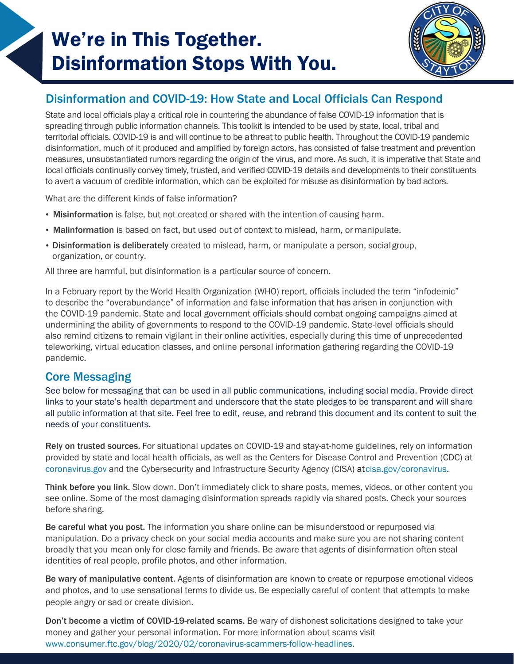# We're in This Together. Disinformation Stops With You.



## Disinformation and COVID-19: How State and Local Officials Can Respond

State and local officials play a critical role in countering the abundance of false COVID-19 information that is spreading through public information channels. This toolkit is intended to be used by state, local, tribal and territorial officials. COVID-19 is and will continue to be athreat to public health. Throughout the COVID-19 pandemic disinformation, much of it produced and amplified by foreign actors, has consisted of false treatment and prevention measures, unsubstantiated rumors regarding the origin of the virus, and more. As such, it is imperative that State and local officials continually convey timely, trusted, and verified COVID-19 details and developments to their constituents to avert a vacuum of credible information, which can be exploited for misuse as disinformation by bad actors.

What are the different kinds of false information?

- Misinformation is false, but not created or shared with the intention of causing harm.
- Malinformation is based on fact, but used out of context to mislead, harm, or manipulate.
- Disinformation is deliberately created to mislead, harm, or manipulate a person, socialgroup, organization, or country.

All three are harmful, but disinformation is a particular source of concern.

In a February report by the World Health Organization (WHO) report, officials included the term "infodemic" to describe the "overabundance" of information and false information that has arisen in conjunction with the COVID-19 pandemic. State and local government officials should combat ongoing campaigns aimed at undermining the ability of governments to respond to the COVID-19 pandemic. State-level officials should also remind citizens to remain vigilant in their online activities, especially during this time of unprecedented teleworking, virtual education classes, and online personal information gathering regarding the COVID-19 pandemic.

### Core Messaging

See below for messaging that can be used in all public communications, including social media. Provide direct links to your state's health department and underscore that the state pledges to be transparent and will share all public information at that site. Feel free to edit, reuse, and rebrand this document and its content to suit the needs of your constituents.

Rely on trusted sources. For situational updates on COVID-19 and stay-at-home guidelines, rely on information provided by state and local health officials, as well as the Centers for Disease Control and Prevention (CDC) at [coronavirus.gov](http://coronavirus.gov/) and the Cybersecurity and Infrastructure Security Agency (CISA) a[tcisa.gov/coronavirus.](cisa.gov/coronavirus)

Think before you link. Slow down. Don't immediately click to share posts, memes, videos, or other content you see online. Some of the most damaging disinformation spreads rapidly via shared posts. Check your sources before sharing.

Be careful what you post. The information you share online can be misunderstood or repurposed via manipulation. Do a privacy check on your social media accounts and make sure you are not sharing content broadly that you mean only for close family and friends. Be aware that agents of disinformation often steal identities of real people, profile photos, and other information.

Be wary of manipulative content. Agents of disinformation are known to create or repurpose emotional videos and photos, and to use sensational terms to divide us. Be especially careful of content that attempts to make people angry or sad or create division.

Don't become a victim of COVID-19-related scams. Be wary of dishonest solicitations designed to take your money and gather your personal information. For more information about scams visit [www.consumer.ftc.gov/blog/2020/02/coronavirus-scammers-follow-headlines.](https://www.consumer.ftc.gov/blog/2020/02/coronavirus-scammers-follow-headlines)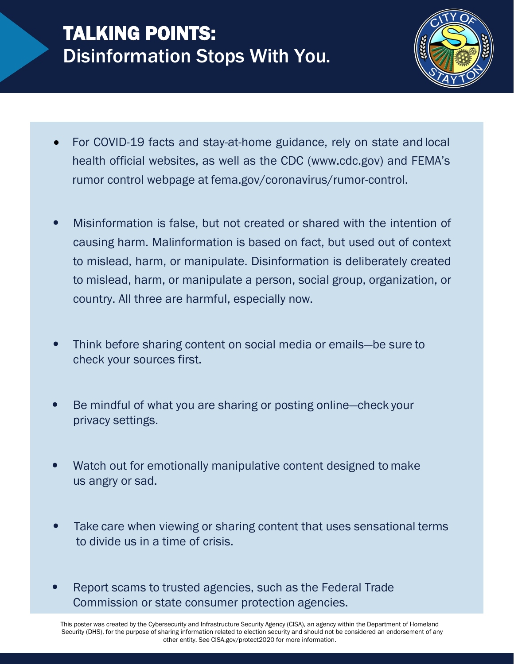# TALKING POINTS: Disinformation Stops With You.



- For COVID-19 facts and stay-at-home guidance, rely on state and local health official websites, as well as the CDC [\(www.cdc.gov](http://www.cdc.gov/)) and FEMA's rumor control webpage at fema.gov/coronavirus/rumor-control.
- **•** Misinformation is false, but not created or shared with the intention of causing harm. Malinformation is based on fact, but used out of context to mislead, harm, or manipulate. Disinformation is deliberately created to mislead, harm, or manipulate a person, social group, organization, or country. All three are harmful, especially now.
- **•** Think before sharing content on social media or emails—be sure to check your sources first.
- **•** Be mindful of what you are sharing or posting online—check your privacy settings.
- **•** Watch out for emotionally manipulative content designed to make us angry or sad.
- **•** Take care when viewing or sharing content that uses sensational terms to divide us in a time of crisis.
- **•** Report scams to trusted agencies, such as the Federal Trade Commission or state consumer protection agencies.

This poster was created by the Cybersecurity and Infrastructure Security Agency (CISA), an agency within the Department of Homeland Security (DHS), for the purpose of sharing information related to election security and should not be considered an endorsement of any other entity. See CISA.gov/protect2020 for more information.